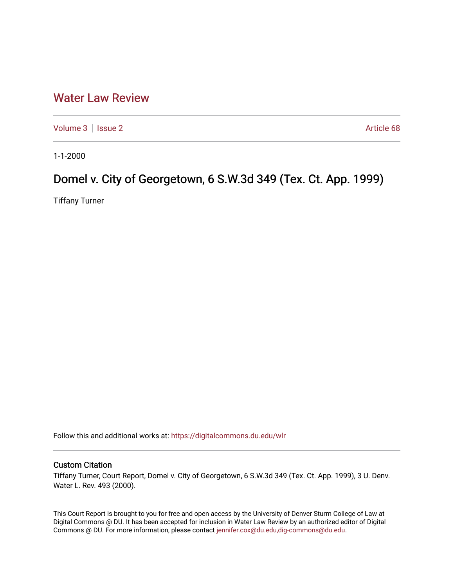## [Water Law Review](https://digitalcommons.du.edu/wlr)

[Volume 3](https://digitalcommons.du.edu/wlr/vol3) | [Issue 2](https://digitalcommons.du.edu/wlr/vol3/iss2) Article 68

1-1-2000

# Domel v. City of Georgetown, 6 S.W.3d 349 (Tex. Ct. App. 1999)

Tiffany Turner

Follow this and additional works at: [https://digitalcommons.du.edu/wlr](https://digitalcommons.du.edu/wlr?utm_source=digitalcommons.du.edu%2Fwlr%2Fvol3%2Fiss2%2F68&utm_medium=PDF&utm_campaign=PDFCoverPages) 

#### Custom Citation

Tiffany Turner, Court Report, Domel v. City of Georgetown, 6 S.W.3d 349 (Tex. Ct. App. 1999), 3 U. Denv. Water L. Rev. 493 (2000).

This Court Report is brought to you for free and open access by the University of Denver Sturm College of Law at Digital Commons @ DU. It has been accepted for inclusion in Water Law Review by an authorized editor of Digital Commons @ DU. For more information, please contact [jennifer.cox@du.edu,dig-commons@du.edu.](mailto:jennifer.cox@du.edu,dig-commons@du.edu)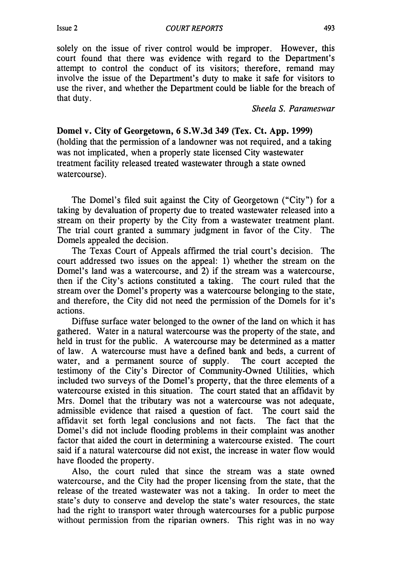#### *COURT REPORTS*

solely on the issue of river control would be improper. However, this court found that there was evidence with regard to the Department's attempt to control the conduct of its visitors; therefore, remand may involve the issue of the Department's duty to make it safe for visitors to use the river, and whether the Department could be liable for the breach of that duty.

*Sheela S. Parameswar*

Domel v. City of Georgetown, **6 S.W.3d** 349 (Tex. Ct. **App. 1999)** (holding that the permission of a landowner was not required, and a taking was not implicated, when a properly state licensed City wastewater treatment facility released treated wastewater through a state owned watercourse).

The Domel's filed suit against the City of Georgetown ("City") for a taking by devaluation of property due to treated wastewater released into a stream on their property by the City from a wastewater treatment plant. The trial court granted a summary judgment in favor of the City. The Domels appealed the decision.

The Texas Court of Appeals affirmed the trial court's decision. The court addressed two issues on the appeal: 1) whether the stream on the Domel's land was a watercourse, and 2) if the stream was a watercourse, then if the City's actions constituted a taking. The court ruled that the stream over the Domel's property was a watercourse belonging to the state, and therefore, the City did not need the permission of the Domels for it's actions.

Diffuse surface water belonged to the owner of the land on which it has gathered. Water in a natural watercourse was the property of the state, and held in trust for the public. A watercourse may be determined as a matter of law. A watercourse must have a defined bank and beds, a current of water, and a permanent source of supply. The court accepted the testimony of the City's Director of Community-Owned Utilities, which included two surveys of the Domel's property, that the three elements of a watercourse existed in this situation. The court stated that an affidavit by Mrs. Domel that the tributary was not a watercourse was not adequate, admissible evidence that raised a question of fact. The court said the affidavit set forth legal conclusions and not facts. The fact that the Domel's did not include flooding problems in their complaint was another factor that aided the court in determining a watercourse existed. The court said if a natural watercourse did not exist, the increase in water flow would have flooded the property.

Also, the court ruled that since the stream was a state owned watercourse, and the City had the proper licensing from the state, that the release of the treated wastewater was not a taking. In order to meet the state's duty to conserve and develop the state's water resources, the state had the right to transport water through watercourses for a public purpose without permission from the riparian owners. This right was in no way